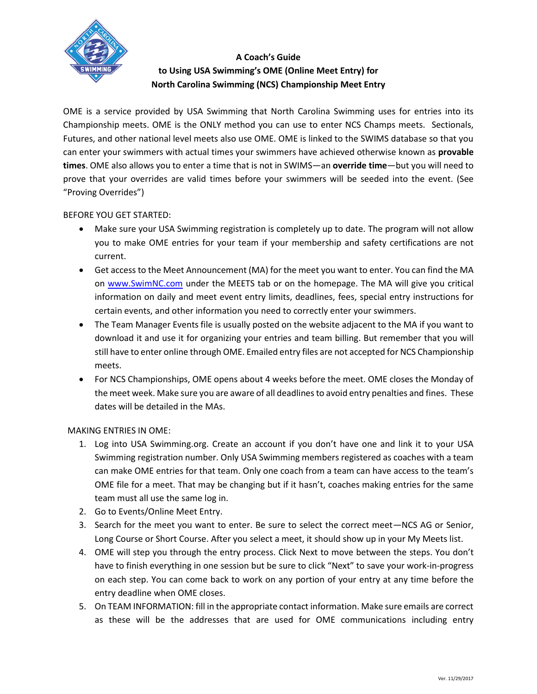

## **A Coach's Guide to Using USA Swimming's OME (Online Meet Entry) for North Carolina Swimming (NCS) Championship Meet Entry**

OME is a service provided by USA Swimming that North Carolina Swimming uses for entries into its Championship meets. OME is the ONLY method you can use to enter NCS Champs meets. Sectionals, Futures, and other national level meets also use OME. OME is linked to the SWIMS database so that you can enter your swimmers with actual times your swimmers have achieved otherwise known as **provable times**. OME also allows you to enter a time that is not in SWIMS—an **override time**—but you will need to prove that your overrides are valid times before your swimmers will be seeded into the event. (See "Proving Overrides")

## BEFORE YOU GET STARTED:

- Make sure your USA Swimming registration is completely up to date. The program will not allow you to make OME entries for your team if your membership and safety certifications are not current.
- Get access to the Meet Announcement (MA) for the meet you want to enter. You can find the MA on [www.SwimNC.com](https://www.swimnc.com/) under the MEETS tab or on the homepage. The MA will give you critical information on daily and meet event entry limits, deadlines, fees, special entry instructions for certain events, and other information you need to correctly enter your swimmers.
- The Team Manager Events file is usually posted on the website adjacent to the MA if you want to download it and use it for organizing your entries and team billing. But remember that you will still have to enter online through OME. Emailed entry files are not accepted for NCS Championship meets.
- For NCS Championships, OME opens about 4 weeks before the meet. OME closes the Monday of the meet week. Make sure you are aware of all deadlines to avoid entry penalties and fines. These dates will be detailed in the MAs.

## MAKING ENTRIES IN OME:

- 1. Log into USA Swimming.org. Create an account if you don't have one and link it to your USA Swimming registration number. Only USA Swimming members registered as coaches with a team can make OME entries for that team. Only one coach from a team can have access to the team's OME file for a meet. That may be changing but if it hasn't, coaches making entries for the same team must all use the same log in.
- 2. Go to Events/Online Meet Entry.
- 3. Search for the meet you want to enter. Be sure to select the correct meet—NCS AG or Senior, Long Course or Short Course. After you select a meet, it should show up in your My Meets list.
- 4. OME will step you through the entry process. Click Next to move between the steps. You don't have to finish everything in one session but be sure to click "Next" to save your work-in-progress on each step. You can come back to work on any portion of your entry at any time before the entry deadline when OME closes.
- 5. On TEAM INFORMATION: fill in the appropriate contact information. Make sure emails are correct as these will be the addresses that are used for OME communications including entry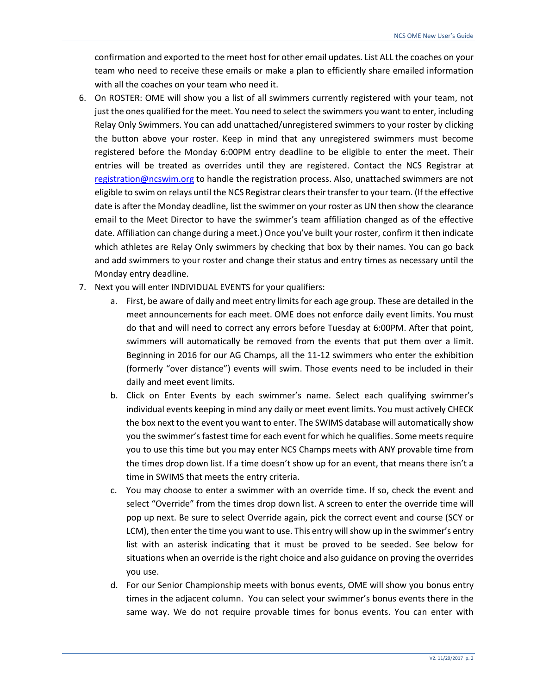confirmation and exported to the meet host for other email updates. List ALL the coaches on your team who need to receive these emails or make a plan to efficiently share emailed information with all the coaches on your team who need it.

- 6. On ROSTER: OME will show you a list of all swimmers currently registered with your team, not just the ones qualified for the meet. You need to select the swimmers you want to enter, including Relay Only Swimmers. You can add unattached/unregistered swimmers to your roster by clicking the button above your roster. Keep in mind that any unregistered swimmers must become registered before the Monday 6:00PM entry deadline to be eligible to enter the meet. Their entries will be treated as overrides until they are registered. Contact the NCS Registrar at [registration@ncswim.org](mailto:registration@ncswim.org) to handle the registration process. Also, unattached swimmers are not eligible to swim on relays until the NCS Registrar clears their transfer to your team. (If the effective date is after the Monday deadline, list the swimmer on your roster as UN then show the clearance email to the Meet Director to have the swimmer's team affiliation changed as of the effective date. Affiliation can change during a meet.) Once you've built your roster, confirm it then indicate which athletes are Relay Only swimmers by checking that box by their names. You can go back and add swimmers to your roster and change their status and entry times as necessary until the Monday entry deadline.
- 7. Next you will enter INDIVIDUAL EVENTS for your qualifiers:
	- a. First, be aware of daily and meet entry limits for each age group. These are detailed in the meet announcements for each meet. OME does not enforce daily event limits. You must do that and will need to correct any errors before Tuesday at 6:00PM. After that point, swimmers will automatically be removed from the events that put them over a limit. Beginning in 2016 for our AG Champs, all the 11-12 swimmers who enter the exhibition (formerly "over distance") events will swim. Those events need to be included in their daily and meet event limits.
	- b. Click on Enter Events by each swimmer's name. Select each qualifying swimmer's individual events keeping in mind any daily or meet event limits. You must actively CHECK the box next to the event you want to enter. The SWIMS database will automatically show you the swimmer's fastest time for each event for which he qualifies. Some meets require you to use this time but you may enter NCS Champs meets with ANY provable time from the times drop down list. If a time doesn't show up for an event, that means there isn't a time in SWIMS that meets the entry criteria.
	- c. You may choose to enter a swimmer with an override time. If so, check the event and select "Override" from the times drop down list. A screen to enter the override time will pop up next. Be sure to select Override again, pick the correct event and course (SCY or LCM), then enter the time you want to use. This entry will show up in the swimmer's entry list with an asterisk indicating that it must be proved to be seeded. See below for situations when an override is the right choice and also guidance on proving the overrides you use.
	- d. For our Senior Championship meets with bonus events, OME will show you bonus entry times in the adjacent column. You can select your swimmer's bonus events there in the same way. We do not require provable times for bonus events. You can enter with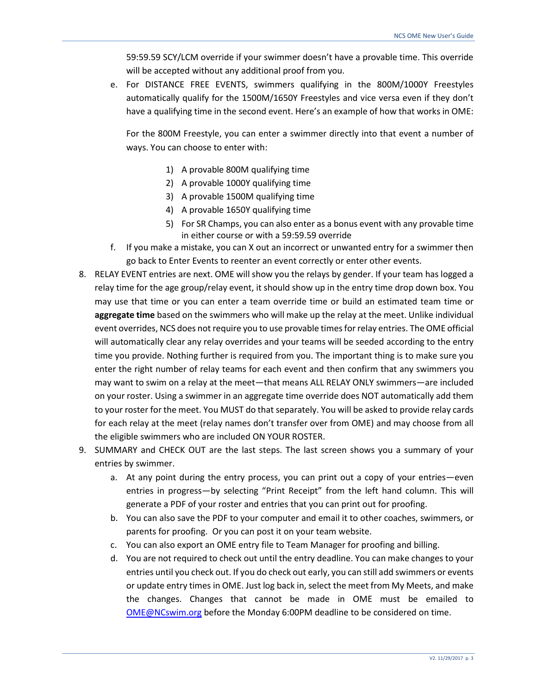59:59.59 SCY/LCM override if your swimmer doesn't have a provable time. This override will be accepted without any additional proof from you.

e. For DISTANCE FREE EVENTS, swimmers qualifying in the 800M/1000Y Freestyles automatically qualify for the 1500M/1650Y Freestyles and vice versa even if they don't have a qualifying time in the second event. Here's an example of how that works in OME:

For the 800M Freestyle, you can enter a swimmer directly into that event a number of ways. You can choose to enter with:

- 1) A provable 800M qualifying time
- 2) A provable 1000Y qualifying time
- 3) A provable 1500M qualifying time
- 4) A provable 1650Y qualifying time
- 5) For SR Champs, you can also enter as a bonus event with any provable time in either course or with a 59:59.59 override
- f. If you make a mistake, you can X out an incorrect or unwanted entry for a swimmer then go back to Enter Events to reenter an event correctly or enter other events.
- 8. RELAY EVENT entries are next. OME will show you the relays by gender. If your team has logged a relay time for the age group/relay event, it should show up in the entry time drop down box. You may use that time or you can enter a team override time or build an estimated team time or **aggregate time** based on the swimmers who will make up the relay at the meet. Unlike individual event overrides, NCS does not require you to use provable times for relay entries. The OME official will automatically clear any relay overrides and your teams will be seeded according to the entry time you provide. Nothing further is required from you. The important thing is to make sure you enter the right number of relay teams for each event and then confirm that any swimmers you may want to swim on a relay at the meet—that means ALL RELAY ONLY swimmers—are included on your roster. Using a swimmer in an aggregate time override does NOT automatically add them to your roster for the meet. You MUST do that separately. You will be asked to provide relay cards for each relay at the meet (relay names don't transfer over from OME) and may choose from all the eligible swimmers who are included ON YOUR ROSTER.
- 9. SUMMARY and CHECK OUT are the last steps. The last screen shows you a summary of your entries by swimmer.
	- a. At any point during the entry process, you can print out a copy of your entries—even entries in progress—by selecting "Print Receipt" from the left hand column. This will generate a PDF of your roster and entries that you can print out for proofing.
	- b. You can also save the PDF to your computer and email it to other coaches, swimmers, or parents for proofing. Or you can post it on your team website.
	- c. You can also export an OME entry file to Team Manager for proofing and billing.
	- d. You are not required to check out until the entry deadline. You can make changes to your entries until you check out. If you do check out early, you can still add swimmers or events or update entry times in OME. Just log back in, select the meet from My Meets, and make the changes. Changes that cannot be made in OME must be emailed to [OME@NCswim.org](mailto:OME@NCswim.org) before the Monday 6:00PM deadline to be considered on time.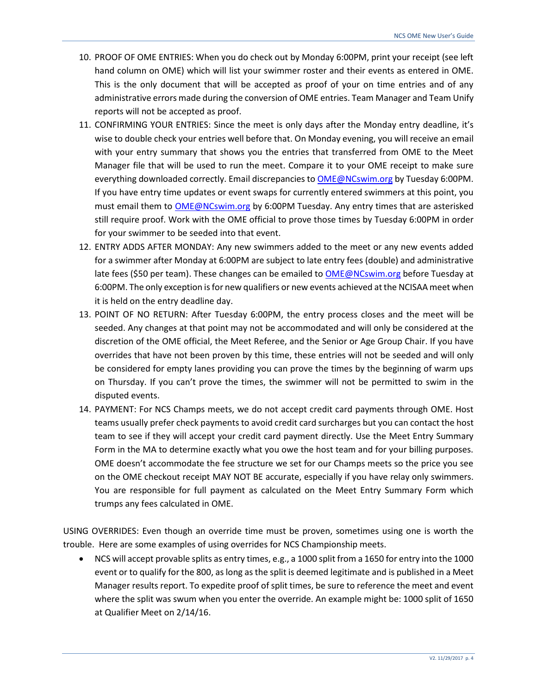- 10. PROOF OF OME ENTRIES: When you do check out by Monday 6:00PM, print your receipt (see left hand column on OME) which will list your swimmer roster and their events as entered in OME. This is the only document that will be accepted as proof of your on time entries and of any administrative errors made during the conversion of OME entries. Team Manager and Team Unify reports will not be accepted as proof.
- 11. CONFIRMING YOUR ENTRIES: Since the meet is only days after the Monday entry deadline, it's wise to double check your entries well before that. On Monday evening, you will receive an email with your entry summary that shows you the entries that transferred from OME to the Meet Manager file that will be used to run the meet. Compare it to your OME receipt to make sure everything downloaded correctly. Email discrepancies to [OME@NCswim.org](mailto:OME@NCswim.org) by Tuesday 6:00PM. If you have entry time updates or event swaps for currently entered swimmers at this point, you must email them to [OME@NCswim.org](mailto:OME@NCswim.org) by 6:00PM Tuesday. Any entry times that are asterisked still require proof. Work with the OME official to prove those times by Tuesday 6:00PM in order for your swimmer to be seeded into that event.
- 12. ENTRY ADDS AFTER MONDAY: Any new swimmers added to the meet or any new events added for a swimmer after Monday at 6:00PM are subject to late entry fees (double) and administrative late fees (\$50 per team). These changes can be emailed to [OME@NCswim.org](mailto:OME@NCswim.org) before Tuesday at 6:00PM. The only exception is for new qualifiers or new events achieved at the NCISAA meet when it is held on the entry deadline day.
- 13. POINT OF NO RETURN: After Tuesday 6:00PM, the entry process closes and the meet will be seeded. Any changes at that point may not be accommodated and will only be considered at the discretion of the OME official, the Meet Referee, and the Senior or Age Group Chair. If you have overrides that have not been proven by this time, these entries will not be seeded and will only be considered for empty lanes providing you can prove the times by the beginning of warm ups on Thursday. If you can't prove the times, the swimmer will not be permitted to swim in the disputed events.
- 14. PAYMENT: For NCS Champs meets, we do not accept credit card payments through OME. Host teams usually prefer check payments to avoid credit card surcharges but you can contact the host team to see if they will accept your credit card payment directly. Use the Meet Entry Summary Form in the MA to determine exactly what you owe the host team and for your billing purposes. OME doesn't accommodate the fee structure we set for our Champs meets so the price you see on the OME checkout receipt MAY NOT BE accurate, especially if you have relay only swimmers. You are responsible for full payment as calculated on the Meet Entry Summary Form which trumps any fees calculated in OME.

USING OVERRIDES: Even though an override time must be proven, sometimes using one is worth the trouble. Here are some examples of using overrides for NCS Championship meets.

• NCS will accept provable splits as entry times, e.g., a 1000 split from a 1650 for entry into the 1000 event or to qualify for the 800, as long as the split is deemed legitimate and is published in a Meet Manager results report. To expedite proof of split times, be sure to reference the meet and event where the split was swum when you enter the override. An example might be: 1000 split of 1650 at Qualifier Meet on 2/14/16.